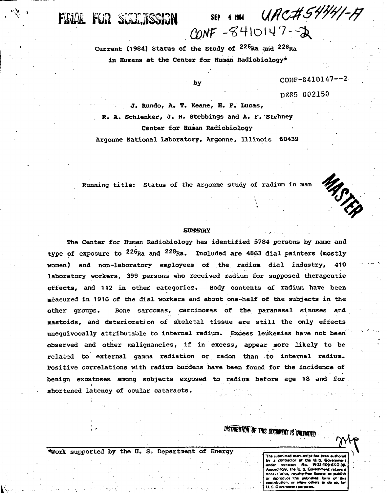UAC#54441-A SEP 4 1984 CONF-8410147-2

Current (1984) Status of the Study of <sup>226</sup>Ra and <sup>228</sup>Ra in Humans at the Center for Human Radiobiology\*

FINAL FUR SUBRISSION

by

COHF-8410147—2

DE85 002150

J. Rundo, A. T. Keane, H. F. Lucas, . R. A. Schlenker, J. H. Stebbings and A. F. Stehney Center for Human Radiobiology

Argonne National Laboratory, Argonne, Illinois 60439

Running title: Status of the Argonne study of radium in man

MASTEP

#### **SUMMARY**

The Center for Human Radiobiology has identified 5784 persons by name and type of exposure to <sup>226</sup>Ra and <sup>228</sup>Ra. Included are 4863 dial painters (mostly women) and non-laboratory employees of the radium dial industry, 410 laboratory workers, 399 persons who received radium for supposed therapeutic effects, and 112 in other categories. Body contents of radium have been measured in 1916 of the dial workers and about one-half of the subjects in the other groups. Bone sarcomas, carcinomas of the paranasal sinuses and mastoids, and deterioration of skeletal tissue are still the only effects unequivocally attributable to internal radium. Excess leukemias have not been observed and other malignancies, if in excess, appear more likely to be related to external gamma radiation or radon than to internal radium. Positive correlations with radium burdens have been found for the incidence of benign exostoses among subjects exposed to radium before age 18 and for shortened latency of ocular cataracts.

**DISTRIBUTION OF THIS DOCUMENT IS DIREMATED** 

\*Work supported by the U. S. Department of Energy

**The submitted manuscript has been authors by a contractor of the U.S. Gottle**<br>under contract No. W-31-109 **under contract No. W-3M0»£NG-3«. Accordingly, the U.S. Government ratains a** nonexclusive, royalty-free license to sublish reproduce the published form **contribution, or «Mow oirMrt «• do** *to.* **far U. S. Government p**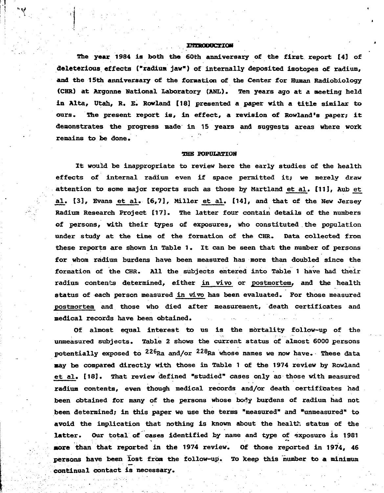#### **IMPRODUCTION**

••\* /

The year 1984 is both the 60th anniversary of the first report [4] of deleterious effects ("radium jaw") of internally deposited isotopes of radium, and the 15th anniversary of the formation of the Center for Human Radiobiology (CHR) at Argonne National Laboratory (ANL). Ten years ago at a meeting held in Alta, Utah, R. E. Rowland [18] presented a paper with a title similar to ours. The present report is, in effect, a revision of Rowland's paper; it demonstrates the progress made in 15 years and suggests areas where work remains to be done.

#### THE POPULATION

It would be inappropriate to review here the early studies of the health effects of internal radium even if space permitted it; we merely draw attention to some major reports such as those by Martland et al. [11], Aub et al. [3], Evans et al. [6,7], Miller et al. [14], and that of the New Jersey Radium Research Project [17]. The latter four contain details of the numbers of persons, with their types of exposures, who constituted the population under study at the time of the formation of the CHR. Data collected from these reports are shown in Table 1. It can be seen that the number of persons for whom radium burdens have been measured has more than doubled since the formation of the CHR. All the subjects entered into Table 1 have had their radium contents determined, either in vivo or postmortem, and the health status of each person measured in vivo has been evaluated. For those measured postmortem and those who died after measurement, death certificates and medical records have been obtained.

Of almost equal interest to us is the mortality follow-up of the unmeasured subjects. Table 2 shows the current status of almost 6000 persons potentially exposed to <sup>226</sup>Ra and/or <sup>228</sup>Ra whose names we now have. These data nay be compared directly with those in Table 1 of the 1974 review by Rowland et al. [13}. That review defined "studied" cases only as those with measured radium contents, even though medical records and/or death certificates had been obtained for many of the persons whose body burdens of radium had not been determined; in this paper we use the terms "measured" and "unmeasured" to avoid the implication that nothing is known about the health status of the latter. Our total of cases identified by name and type of exposure is 1981 **•ore** than that reported in the 1974 review. Of those reported in 1974, 46 persons have been lost from the follow-up. To keep this number to a minimum continual contact is necessary.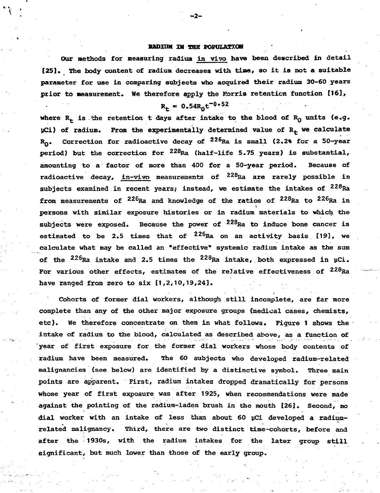#### RADIUM IN THE POPULATION

Our methods for measuring radium in vivo have been described in detail [25]. The body content of radium decreases with time, so it is not a suitable parameter for use in comparing subjects who acquired their radium 30-60 years prior to measurement. He therefore apply the Eorris retention function [16],

$$
R_t = 0.54R_0t^{-0.52}
$$

where  $R_+$  is 'the retention t days after intake to the blood of  $R_0$  units (e.g.  $\mu$ Ci) of radium. From the experimentally determined value of R<sub>f</sub> we calculate  $\mathtt{R_{0}}$ . Correction for radioactive decay of  $^{226}$ Ra is small (2.2% for a 50-year period) but the correction for <sup>228</sup>Ra (half-life 5.75 years) is substantial, amounting to a factor of more than 400 for a 50-year period. Because of radioactive decay, in-vivo measurements of  $^{228}\rm{Ra}$  are rarely possible in subjects examined in recent years; instead, we estimate the intakes of <sup>228</sup>Ra from measurements of  $^{226}$ Ra and knowledge of the ratios of  $^{228}$ Ra to  $^{226}$ Ra i persons with similar exposure histories or in radium materials to which the subjects were exposed. Because the power of  $^{228}\rm{Ra}$  to induce bone cancer is estimated to be 2.5 times that of  $^{226}$ Ra on an activity basis [19], we calculate what may be called an "effective" systemic radium intake as the sum of the  $^{226}$ Ra intake and 2.5 times the  $^{228}$ Ra intake, both expressed in uCi. For various other effects, estimates of the relative effectiveness of  $^{228}\mathrm{Ra}$ have ranged from zero to six  $[1,2,10,19,24]$ .

Cohorts of former dial workers, although still incomplete, are far more complete than any of the other major exposure groups (medical cases, chemists, etc). He therefore concentrate on them in what follows. Figure 1 shows the intake of radium to the blood, calculated as described above, as a function of year of first exposure for the former dial workers whose body contents of radium have been measured. The 60 subjects who developed radium-related malignancies (see below) are identified by a distinctive symbol. Three main points are apparent. First, radium intakes dropped dramatically for persons whose year of first exposure was after 1925, when recommendations were made against the pointing of the radium-laden brush in the mouth [26]. Second, no dial worker with an intake of less than about 60 pCi developed a radiumrelated malignancy. Third, there are two distinct time-cohorts, before and after the 1930s, with the radium intakes for the later group still significant, but much lower than those of the early group.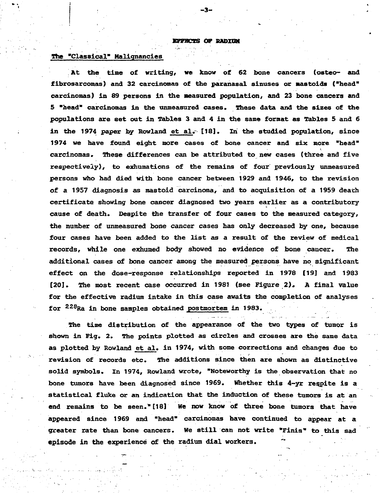**Kgrnas OP RADXCM**

**- 3 -**

### **The "Classical" Malignancies**

**'. At the time of writing, we know of 62 bone cancers (osteo- and fibrosarcomas) and 32 carcinomas of the paranasal sinuses or aastoids ("head" carcinomas) in 89 persons in the measured population, and 23 bone cancers and 5 "head" carcinomas in the unmeasured cases. These data and the sizes of the populations are set out in Tables 3 and 4 in the same format as Tables 5 and 6** in the 1974 paper by Rowland et al. [18]. In the studied population, since **1974 we have found eight more cases of bone cancer and six more "head" carcinomas. These differences can be attributed to new cases (three and five respectively), to exhumations of the remains of four previously unmeasured persons who had died with bone cancer between 1929 and 1946, to the revision of a 1957 diagnosis as mastoid carcinoma, and to acquisition of a 1959 death certificate showing bone cancer diagnosed two years earlier as a contributory cause of death. Despite the transfer of four cases to the measured category, the number of unmeasured bone cancer cases has only decreased by one, because four cases have been added to the list as a result of the review of medical records, while one exhumed body showed no evidence of bone cancer. The additional cases of bone cancer among the measured persons have no significant effect on the dose-response relationships reported in 1978 (19] and 1983 [20]. The most recent case occurred in 1981 (see Figure 2), A final value for the effective radium intake in this case awaits the completion of analyses for <sup>228</sup> Ra in bone samples obtained postmortem in 1983. .**

**The time distribution of the appearance of the two types of tumor is shown in Fig. 2. The points plotted as circles and crosses are the same data as plotted by Rowland et al. in 1974, with some corrections and changes due to revision of records etc\* The additions since then are shown as distinctive solid symbols. In 1974, Rowland wrote, "Noteworthy is the observation that no bone tumors have been diagnosed since 1969. Whether this 4-yr respite is a statistical fluke or an indication that the induction of these tumors is at an end remains to be seen." [18] He now know of three bone tumors that have appeared since 1969 and "head" carcinomas have continued to appear at a greater rate than bone cancers. We still can not write "Finis" to this sad episode in the experience of the radium dial workers.**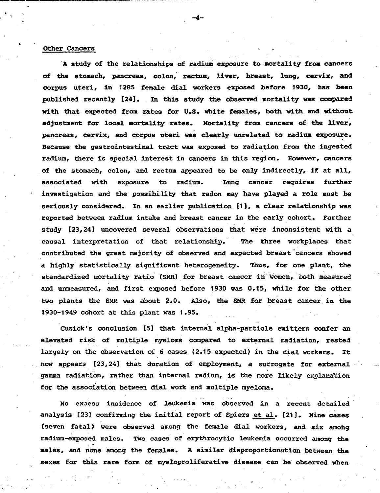#### Other Cancers

A study of the relationships of radium exposure to Mortality from cancers of the stomach, pancreas, colon, rectum, liver, breast, lung, cervix, and corpus uteri, in 1285 female dial workers exposed before 1930, has been published recently [24]. In this study the observed mortality was compared with that expected from rates for U.S. white females, both with and without adjustment for local mortality rates. Mortality from cancers of the liver, pancreas, cervix, and corpus uteri was clearly unrelated to radium exposure. Because the gastrointestinal tract was exposed to radiation from the ingested radium, there is special interest in cancers in this region. However, cancers of the stomach, colon, and rectum appeared to be only indirectly, if at all, associated with exposure to radium. Lung cancer requires further investigation and the possibility that radon may have played a role must be seriously considered. In an earlier publication (1), a clear relationship was reported between radium intake and breast cancer in the early cohort. Further study [23,24] uncovered several observations that were inconsistent with a causal interpretation of that relationship. The three workplaces that contributed the great majority of observed and expected breast cancers showed a highly statistically significant heterogeneity. Thus, for one plant, the standardized mortality ratio (SMR) for breast cancer in women, both measured and unmeasured, and first exposed before 1930 was 0.15, while for the other two plants the SMR was about 2.0. Also, the SMR for breast cancer in the 1930-1949 cohort at this plant was 1.95.

Cuzick's conclusion [5] that internal alpha-particle emitters confer an elevated risk of multiple myeloma compared to external radiation, rested largely on the observation of 6 cases (2.15 expected) in the dial workers. It now appears [23,24] that duration of employment, a surrogate for external gamma radiation, rather than internal radium, is the more likely explanation for the association between dial work and multiple myeloma.

No excess incidence of leukemia was observed in a recent detailed analysis [23] confirming the initial report of Spiers et al. [21]. Nine cases (seven fatal) were observed among the female dial workers, and six among radium-exposed males. Two cases of erythrocytic leukemia occurred among the males, and none among the females. A similar disproportionation between the sexes for this rare form of myeloproliferative disease can be observed when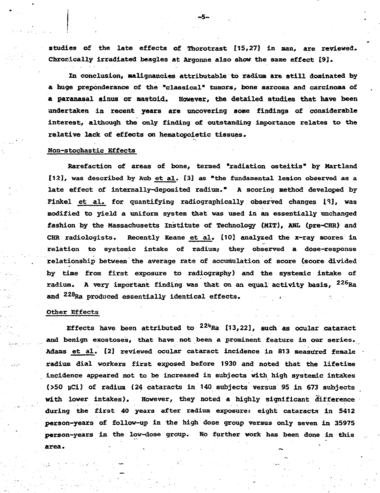**studies of the late effects of Thorotrast [15,27J in man, are reviewed. Chronically irradiated beagles at Argonne also show the same effect [9].**

**In conclusion. Malignancies attributable to radium are still dominated by a huge preponderance of the "classical" tumors, bone sarcoma and carcinoma of a paranasal sinus or nastoid. However, the detailed studies that have been undertaken in recent years are uncovering some findings of considerable interest, although the only finding of outstanding importance relates to the relative lack of effects on hematopoietic tissues.**

#### **Non-stochastic Effects**

**Rarefaction of areas of bone, termed "radiation osteitis" by Martland [12], was described by Aub et al. [3] as "the fundamental lesion observed as a late effect of internally-deposited radium." A scoring method developed by Finkel et al. for quantifying radiographically observed changes 1\*3], was modified to yield a uniform system that was used in an essentially unchanged fashion by the Massachusetts Institute of Technology (MIT), ANL (pre-CHR) and CHR radiologists. Recently Keane et al. [10] analyzed the x-ray scores in relation to systemic intake of radium; they observed a dose-response relationship between the average rate of accumulation of score (score divided by time from first exposure to radiography) and the systemic intake of radium. A very important finding was that on an equal activity basis, <sup>226</sup> Ra and <sup>228</sup>Ra produced essentially identical effects.** 

#### **Other Effects**

**Effects have been attributed to**  $2^{24}$ **Ra [13,22], such as ocular cataract and benign exostoses, that have not been a prominent feature in our series. Adams et al. [2] reviewed ocular cataract incidence in 813 measu'red female radium dial workers first exposed before 1930 and noted that the lifetime incidence appeared not to be increased in subjects with high systemic intakes (>50 yCi) of radium (24 cataracts in 140 subjects versus 95 in 673 subjects with lower intakes). However, they noted a highly significant difference during the first 40 years after radium exposure: eight cataracts in 5412 person-years of follow-up in the high dose group versus only seven in 35975 person-years in the low-dose group. No further work has been done in this area. .- ,**

**-5-**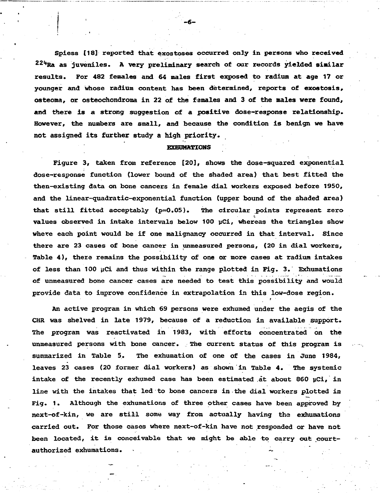Spiess [18] reported that exostoses occurred only in persons who received  $224$ <sub>Ra as juveniles. A very preliminary search of our records yielded similar</sub> results. For 482 females and 64 males first exposed to radium at age 17 or younger and whose radium content has been determined, reports of exostosis, osteoma, or osteochondroma in 22 of the females and 3 of the males **were** found, and there is a strong suggestion of a positive dose-response relationship. However, the numbers are small, and because the condition is benign we have not assigned its further study a high priority.

-6-

### EXHUMATIONS

Figure 3, taken from reference [20], shows the dose-squared exponential dose-response function (lower bound of the shaded area) that best fitted the then-existing data on bone cancers in female dial workers exposed before 1950, and the linear-quadratic-exponential function (upper bound of the shaded area) that still fitted acceptably  $(p=0.05)$ . The circular points represent zero values observed in intake intervals below 100 uCi, whereas the triangles show where each point would be if one malignancy occurred in that interval. Since there are 23 cases of bone cancer in unmeasured persons, (20 in dial workers. Table 4), there remains the possibility of one or more cases at radium intakes of less than 100  $\mu$ Ci and thus within the range plotted in Fig. 3. Exhumations of unmeasured bone cancer cases are needed to test this possibility and would provide data to improve confidence in extrapolation in this low-dose region.

» •

An active program in which 69 persons were exhumed under the aegis of the CHR was shelved in late 1979, because of a reduction in available support. The program was reactivated in 1983, with efforts concentrated on the unmeasured persons with bone cancer. The current status of this program is summarized in Table 5. The exhumation of one of the cases in June 1984, leaves 23 cases (20 former dial workers) as shown in Table 4. The systemic intake of the recently exhumed case has been estimated at about 860 µCi, in line with the intakes that led to bone cancers in the dial workers plotted in Fig. 1. Although the exhumations of three other cases have been approved by next-of-kin, we are still some way from actually having the exhumations carried out. For those cases where next-of-kin have not responded or have not been located, it is conceivable that we might be able to carry out courtauthorized exhumations.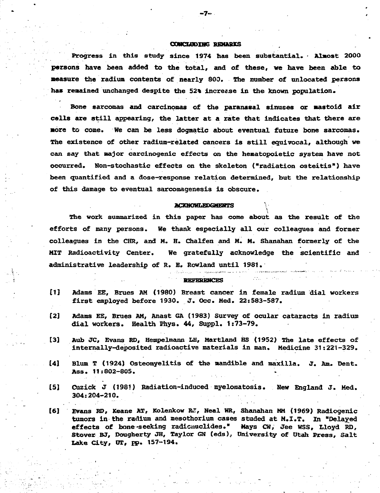#### **OQMCUODIHG; REMARKS**

**-7-**

**Progress in this study since 1974 has been substantial. • Almost 2000 persons have been added to the total, and of these, we have been able to measure the radium contents of nearly 800. The number of unlocated persons** has remained unchanged despite the 52% increase in the known population.

**Bone sarcomas and carcinomas of the paranasal sinuses or mastoid air cells are still appearing, the latter at a rate that indicates that there are •ore to come. We can be less dogmatic about eventual future bone sarcomas. The existence of other radium-related cancers is still equivocal, although we can say that major carcinogenic effects on the hematopoietic system have not occurred. Mon-stochastic effects on the skeleton ("radiation osteitis") have been quantified and a dose-response relation determined, but the relationship of this damage to eventual sarcomagenesis is obscure.**

#### **ACKNOWIAEDGMENTS**

**The work summarized in this paper has come about as the result of the efforts of many persons. We thank especially all our colleagues and former colleagues in the CHR, and H. H. Chalfen and H. M. Shanahan formerly of the MIT Radioactivity Center. We gratefully acknowledge the scientific and administrative leadership of R. E. Rowland until 1981.**

#### **REFERENCES**

- **[1] Adams EE, Brues AM (1980) Breast cancer in female radium dial workers first employed before 1930. J. Occ. Hed. 22:583-587.**
- **[2] Adams EE, Brues AM, Anast 6A (1983) Survey of ocular cataracts in radium dial workers. Health Phys. 44, Suppl. 1:73-79.**
- **[3] Aub JC, Evans RD, Hempelmann LH, Martland HS (1952) The late effects of internally-deposited radioactive materials in man. Medicine 31:221-329.**
- **[4] Blum T (1924) Osteomyelitis of the mandible and maxilla. J. Am. Dent. Ass. 11:802-805. . .**
- **[5] Cuzick J (1981) Radiation-induced myelomatosis. New England J. Med. 304:204-210.**
- **[6] Evans RD, Keane AT, Kolenkow R»T, Neal WR, Shanahan MM (1969) Radiogenic tumora in the radium and mesothorium cases studed at M.I.T. In "Delayed effects of bone-seeking radicmiclides." Mays CW, Jee WSS, Lloyd RD, Stover BJ, Dougherty JH, Taylor GN (eds), University of Utah Press, Salt** Lake City, UT, pp. 157-194.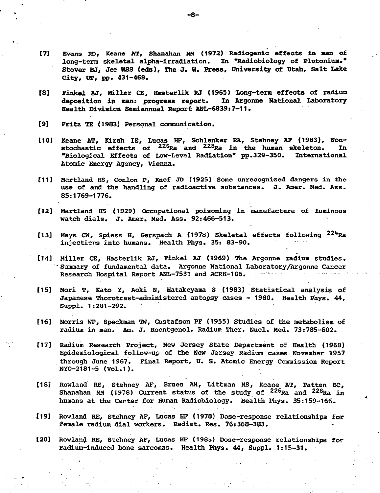- **[7] Evans RD, Keane AT, Shanahan MM (1972) Radiogenic effects in man of long-term skeletal alpha-irradiation. In "Radiobiology of Plutonium\*" Stover BJ, Jee WSS (eds). The J. W. Press, University of Utah, Salt Lake City, OT, pp. 431-468.**
- **f8] Finkel AJ, Miller CE, Hasterlik RJ (1965) Long-term effects of radium** deposition in man: progress report. **Health Division Semiannual Report ANL-6839i7-11.**
- **[9] Fritz TE (1983) Personal communication.**
- **[10] Xeane AT, Kirsh IE, Lucas HF, Schlenker RA, Stehney AF (1983), Nonstochastic effects of <sup>226</sup>Ra and <sup>228</sup>Ra in the human skeleton. In "Biological Effects of Low-Level Radiation" pp.329-350. International Atomic Energy Agency, Vienna.**
- **[11] Martland HS, Conlon P, Knef JD (1925) Some unrecognized dangers in the use of and the handling of radioactive substances. J. Amer. Med. Ass. 85:1769-1776.**
- **[12] Martland HS (1929) Occupational poisoning in manufacture of luminous watch dials. J. Amer. Med. Ass. 92:466-513.**
- **[13] Mays CW, Spiess H, Gerspach A (1978) Skeletal effects following <sup>22</sup>\*\*Ra injections into humans. Health Phys. 35: 83-90.**
- **[14] Miller CE, Hasterlik RJ, Finkel AJ (1969) The Argonne radium studies. 'Summary of fundamental data. Argonne National Laboratory/Argonne Cancer** Research Hospital Report ANL-7531 and ACRH-106.
- **[15] Mori T, Kato Y, Aoki N, Hatakeyama S (1983) Statistical analysis of Japanese Thorotrast-administered autopsy cases - 1980. Health Phys. 44, Suppl. 1:281-292.**
- **[16] Norris WP, Speckman TW, Gustafson PF (1955) Studies of the metabolism of radium in man. Am. J. Roentgenol. Radium Ther. Nucl. Med. 73:785-802.**
- **[17] Radium Research Project, New Jersey State Department of Health (1968) Epidemiological follow-up of the New Jersey Radium cases November 1957 through June 1967. Final Report, U. S. Atomic Energy Commission Report NYO-2181-5 (Vol.1).**
- **[18] Rowland RE, Stehney AF, Brues AM, Littman MS, Keane AT, Patten BC, Shanahan MM (1978) Current status of the study of <sup>226</sup>Ra and <sup>228</sup>Ra in humans at the Center for Human Radiobiology. Health Phys. 35:159-166.**
- **[19] Rowland RE, Stehney AF, Lucas HF (1978) Dose-response relationships for female radium dial workers. Radiat. Res. 76:368-383.**
- **[20] Rowland RE, Stehney AF, Lucas HF (198b) Dose-response relationships for radium-induced bone sarcomas. Health Phys. 44, Suppl. 1:15-31.**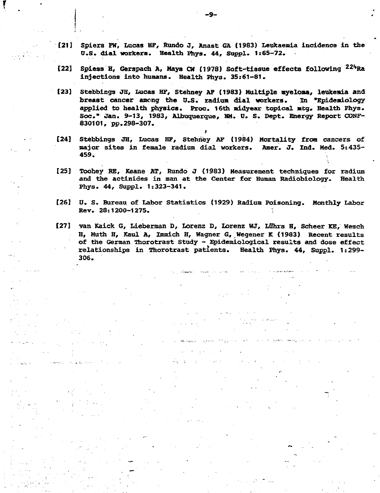- **[21J Spiers FW, Lucas HF, Rundo J, Anast GA (1983) Leukaemia incidence in the U.S. dial workers. Health Phys. 44, Suppl. 1:65-72.**
- **[22] Spiess H, Gerspach A, Mays Of (1978) Soft-tissue effects following 22l\*Ra injections into humans. Health Phys. 35:61-81.**
- **[23] Stebbings JH, Lucas HF, Stehney AF (1983) Multiple myeloma, leukemia and breast cancer among the U.S. radium dial workers. In "Epidemiology applied to health physics. Proc. 16th midyear topical afcg. Health Phys. Soc." Jan. 9-13, 1983, Albuquerque, MM. 0. S. Dept. Energy Report OONF-830101, pp.298-307.**
- **[24] Stebbings JH, Lucas HF, Stehney AF (1984) Mortality from cancers of major sites in female radium dial workers. Amer. J. Ind. Med. 5s435- 459.**

i

- **[25] Toohey RE, Keane AT, Rundo J (1983) Measurement techniques for radium and the actinides in man at the Center for Human Radiobiology. Health Phys. 44, Suppl. 1:323-341.**
- **[26] U. S. Bureau of Labor Statistics (1929) Radium Poisoning. Monthly Labor Rev. 28:1200-1275. •**
- **[27] van Kaick G, Lieberman D, Lorenz D, Lorenz WJ, LQhrs H, Scheer KE, Wesch H, Muth H, Kaul A, Immich H, Wagner G, Wegener K (1983) Recent results of the German Thorotrast Study - Epidemiologies1 results and dose effect relationships in Thorotrast patients. Health Phys. 44, Suppl. 1:299- 306.**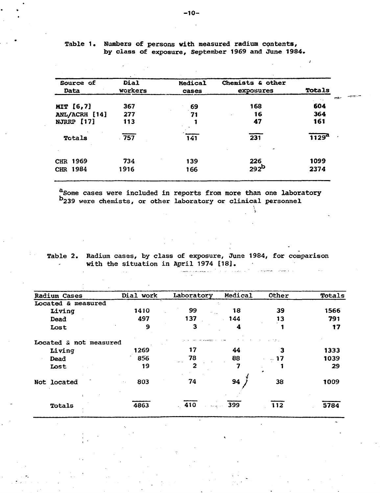| Source of<br>Data | Dial<br>Workers | Medical<br>cases | Chemists & other<br>exposures | <b>Totals</b>     |
|-------------------|-----------------|------------------|-------------------------------|-------------------|
|                   |                 |                  | 168                           | 604               |
| MIT [6,7]         | 367             | 69               |                               |                   |
| ANL/ACRH [14]     | 277             | 71               | 16                            | 364               |
| NJRRP [17]        | 113             |                  | 47                            | 161               |
| Totals            | $-757$          | 141              | $\overline{231}$              | 1129 <sup>a</sup> |
| CHR 1969          | 734             | 139              | 226                           | 1099              |
| CHR 1984          | 1916            | 166              | 292 <sup>b</sup>              | 2374              |

Table 1. Numbers of persons with measured radium contents, by class of exposure, September 1969 and June 1984.

aSome cases were included in reports from more than one laboratory b<sub>239</sub> were chemists, or other laboratory or clinical personnel

Table 2. Radium cases, by class of exposure, June 1984, for comparison with the situation in April 1974 [18].  $\omega$  $\sim$  matrix  $\sim$   $\sim$ 

الموعجون للرازر

 $\sim$ 

أنواح فيوجون

| Radium Cases           | Dial work            | Laboratory       | Medical    | Other         | Totals |
|------------------------|----------------------|------------------|------------|---------------|--------|
| Located & measured     |                      |                  |            |               |        |
| Living                 | 1410                 | 99<br>$\sim 100$ | 18         | 39            | 1566   |
| Dead                   | 497                  | 137              | 144<br>a.  | 13            | 791    |
| Lost                   | 9                    | 3                | 4          |               | 17     |
| Located & not measured |                      |                  |            | <b>Sunday</b> |        |
| Living                 | 1269                 | 17               | 44         |               | 1333   |
| Dead                   | 856                  | 78               | 88         | -- 17         | 1039   |
| Lost                   | 19                   | 2                | 7          |               | 29     |
| Not located            | 803<br>$\sim$ $\sim$ | 74               | 94         | 38            | 1009   |
| Totals                 | 4863                 | $-410$           | $\sim$ 399 | 112           | 5784   |

-10-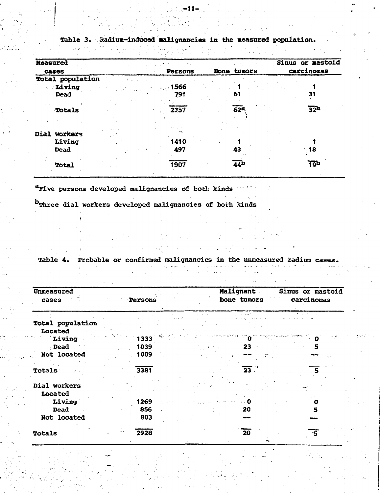| Measured         |             |                 | Sinus or mastoid            |
|------------------|-------------|-----------------|-----------------------------|
| cases            | Persons     | tumors<br>Bone  | carcinomas                  |
| Total population |             |                 |                             |
| Living           | $\sim$ 1566 |                 |                             |
| <b>Dead</b>      | 791         | 61              | 31                          |
|                  |             |                 |                             |
| Totals           | 2357        | 62 <sup>2</sup> | 32 <sup>a</sup><br>$ +$ $+$ |
|                  |             |                 |                             |
| Dial workers     |             |                 |                             |
| Living           | 1410        |                 |                             |
| <b>Dead</b>      | 497         | 43              | 18                          |
| Total            | 1907        | 44 <sup>b</sup> | 19Þ                         |

**Table 3. Radium-inducod •alignancies in the measured population.**

**<sup>a</sup>Five persons developed malignancies of both kinds**

**Three dial workers developed malignancies of both kinds**

**Table 4. Probable or confirmed malignancies in the unmeasured radium cases.**

| the contract of the contract of the contract of the contract of the contract of the contract of the contract of |  | in the company of the company of the company of the State of the Company of the Company of the Company of the Company of the Company of the Company of the Company of the Company of the Company of the Company of the Compan |  |
|-----------------------------------------------------------------------------------------------------------------|--|-------------------------------------------------------------------------------------------------------------------------------------------------------------------------------------------------------------------------------|--|
|                                                                                                                 |  | المستحقق والمستحيل والمستحيل والمستحيل والمستحيل والمتحدث والمستحيل والمستحيل                                                                                                                                                 |  |
|                                                                                                                 |  |                                                                                                                                                                                                                               |  |
|                                                                                                                 |  |                                                                                                                                                                                                                               |  |

| Unmeasured<br>cases | Persons | Malignant<br>bone tumors                      | Sinus or mastoid<br>carcinomas |
|---------------------|---------|-----------------------------------------------|--------------------------------|
| Total population    |         |                                               |                                |
| Located             |         |                                               |                                |
| Living              | 1333    | الدا المصطفة المهرون بروام كيؤوست بحراس ماياه | 法护区                            |
| Dead                | 1039    | 23                                            |                                |
| Not located         | 1009    |                                               | منقاب                          |
| Totals              | 3381    | $\overline{23}$ .                             |                                |
| Dial workers        |         |                                               |                                |
| Located             |         |                                               |                                |
| Living              | 1269    |                                               |                                |
| Dead                | 856     | 20                                            |                                |
| Not located         | 803     |                                               |                                |
| Totals              | 2928    | 20                                            |                                |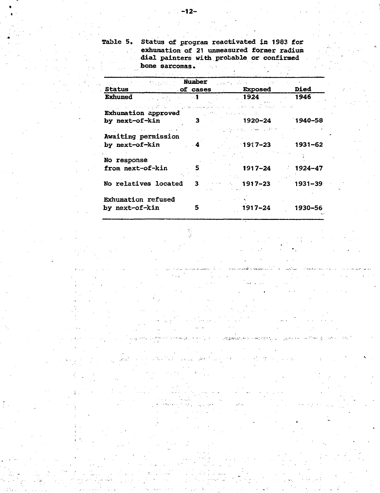Table 5. Status of program reactivated in 1983 for . exhumation of 21 unmeasured former radium dial painters with probable or confirmed **bone sarcomas.**

| $\sim 1000$ , which is $\sim$<br>Status<br>$\sim$ of cases                                                     | <b>Number</b> | State of a control of<br><b>Exposed</b> | <b>Died</b> |
|----------------------------------------------------------------------------------------------------------------|---------------|-----------------------------------------|-------------|
| <b>Exhumed</b><br>$\mu_{\rm{max}}$ , and $\mu_{\rm{max}}$ , and $\mu_{\rm{max}}$                               |               | - 1924 -                                | 1946        |
| أسار مندان فيهمك أسارتهم الانفتار الرازر مناءة كعكش ووالمتهم من مورد الكتاب الأمري والانتخاب المورد بالرازر ال |               |                                         |             |
| Exhumation approved                                                                                            |               |                                         |             |
| by next-of-kin                                                                                                 | 3             | 1920–24                                 | $1940 - 58$ |
| control of the control of                                                                                      |               | 经原则 化二硫酸钠 医乳头病 化硼酸盐                     |             |
| Awaiting permission                                                                                            |               |                                         |             |
| by next-of-kin                                                                                                 | $\mathbf{A}$  | 1917–23                                 | - 1931–62   |
|                                                                                                                |               |                                         |             |
| No response                                                                                                    |               |                                         |             |
| from next-of-kin                                                                                               | 5             | 1917–24                                 | $1924 - 47$ |
|                                                                                                                |               |                                         |             |
| No relatives located                                                                                           | 3             | - 1917–23                               | 1931-39     |
|                                                                                                                |               |                                         |             |
|                                                                                                                |               |                                         |             |
| <b>Exhumation refused</b>                                                                                      |               |                                         |             |
| by next-of-kin                                                                                                 | 5             | 1917-24                                 | 1930-56     |
|                                                                                                                |               |                                         |             |

لمبادع بالممتط سأستدع وتبين

 $\tau$   $\sim$ 

was gobernado, Ambro Company Product

 $\sim 10$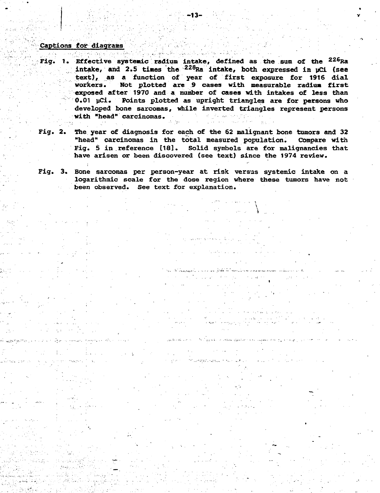# **Caption s fo r diagram <sup>s</sup> •'."•'•:'••.'•" -'.^'••':'- • : • '. '••• •• •"~' ••' ' • • '**

10년 3월 전 국민의 전 3월 1941년

- **Fig. 1. Effective systemic radium intake, defined as the sum of the <sup>226</sup> Ra intake, and 2.5 tines the<sup>228</sup>Ra intake, both expressed in pCi (see text), as a function of year of first exposure for 1916 dial workers. Not plotted are 9 cases with measurable radium first exposed after 1970 and a number of cases with intakes of less than 0.01 yCi. Points plotted as upright triangles are for persons who developed bone sarcomas, while inverted triangles represent persons with "head" carcinomas.**
- **Fig. 2. The year of diagnosis for each of the 62 malignant bone tumors and 32 "head" carcinomas in the total measured population. Compare with Fig. 5 in.reference [18]. Solid symbols are for malignancies that have arisen or been discovered (see text) since the 1974 review.**
- **Fig. 3. Bone sarcomas per person-year at risk versus systemic intake on a logarithmic scale for the dose region where these tumors have not been observed. See text for explanation.**

and the composition of the components of the components of the components of the components of the components of the components of the components of the components of the components of the components of the components of t

بالأجال والريسيا

المتوعب والمتعاون والمعا

.<br>نگاه کار اور معروفیت دارند به اندازه کاربرای ایران محصولات ایران

al al la co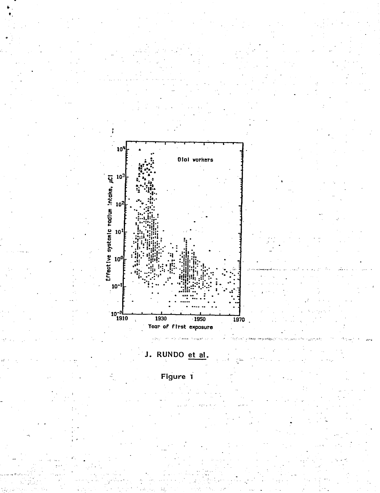

## J. RUNDO et al.

Figure 1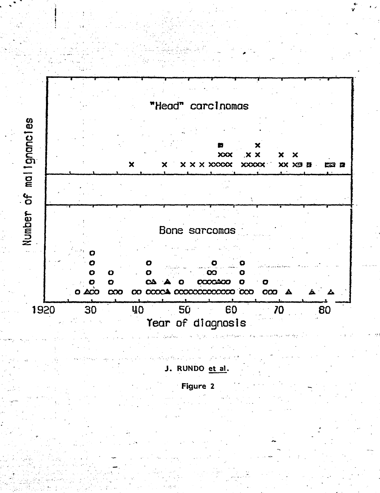

والواد المحادون J. RUNDO et al.

Figure 2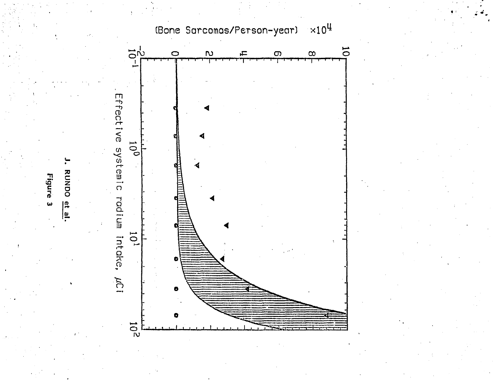

**Figure**  $\mathbf{\omega}$ 

RUNDO  $\frac{1}{15}$